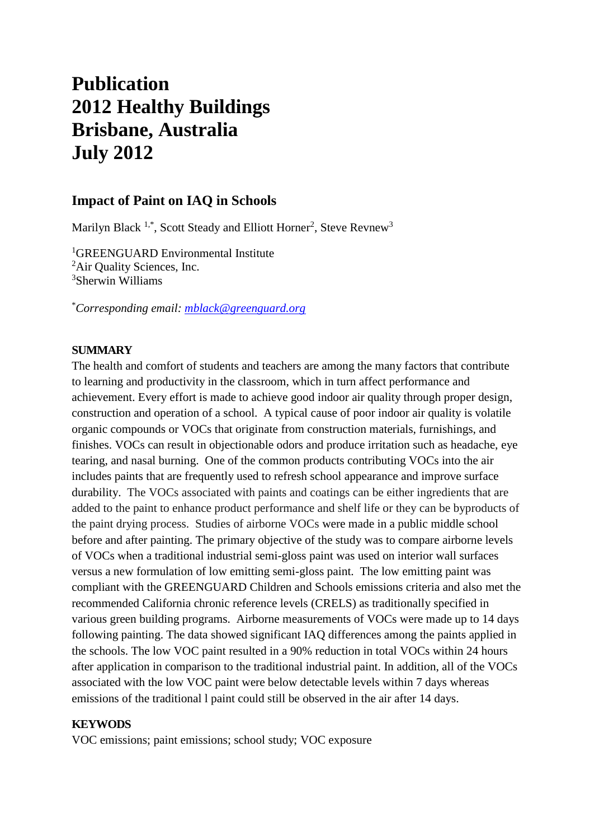# **Publication 2012 Healthy Buildings Brisbane, Australia July 2012**

# **Impact of Paint on IAQ in Schools**

Marilyn Black<sup>1,\*</sup>, Scott Steady and Elliott Horner<sup>2</sup>, Steve Revnew<sup>3</sup>

<sup>1</sup>GREENGUARD Environmental Institute <sup>2</sup>Air Quality Sciences, Inc. <sup>3</sup>Sherwin Williams

\**Corresponding email: [mblack@greenguard.org](mailto:mblack@greenguard.org)*

### **SUMMARY**

The health and comfort of students and teachers are among the many factors that contribute to learning and productivity in the classroom, which in turn affect performance and achievement. Every effort is made to achieve good indoor air quality through proper design, construction and operation of a school. A typical cause of poor indoor air quality is volatile organic compounds or VOCs that originate from construction materials, furnishings, and finishes. VOCs can result in objectionable odors and produce irritation such as headache, eye tearing, and nasal burning. One of the common products contributing VOCs into the air includes paints that are frequently used to refresh school appearance and improve surface durability. The VOCs associated with paints and coatings can be either ingredients that are added to the paint to enhance product performance and shelf life or they can be byproducts of the paint drying process. Studies of airborne VOCs were made in a public middle school before and after painting. The primary objective of the study was to compare airborne levels of VOCs when a traditional industrial semi-gloss paint was used on interior wall surfaces versus a new formulation of low emitting semi-gloss paint. The low emitting paint was compliant with the GREENGUARD Children and Schools emissions criteria and also met the recommended California chronic reference levels (CRELS) as traditionally specified in various green building programs. Airborne measurements of VOCs were made up to 14 days following painting. The data showed significant IAQ differences among the paints applied in the schools. The low VOC paint resulted in a 90% reduction in total VOCs within 24 hours after application in comparison to the traditional industrial paint. In addition, all of the VOCs associated with the low VOC paint were below detectable levels within 7 days whereas emissions of the traditional l paint could still be observed in the air after 14 days.

#### **KEYWODS**

VOC emissions; paint emissions; school study; VOC exposure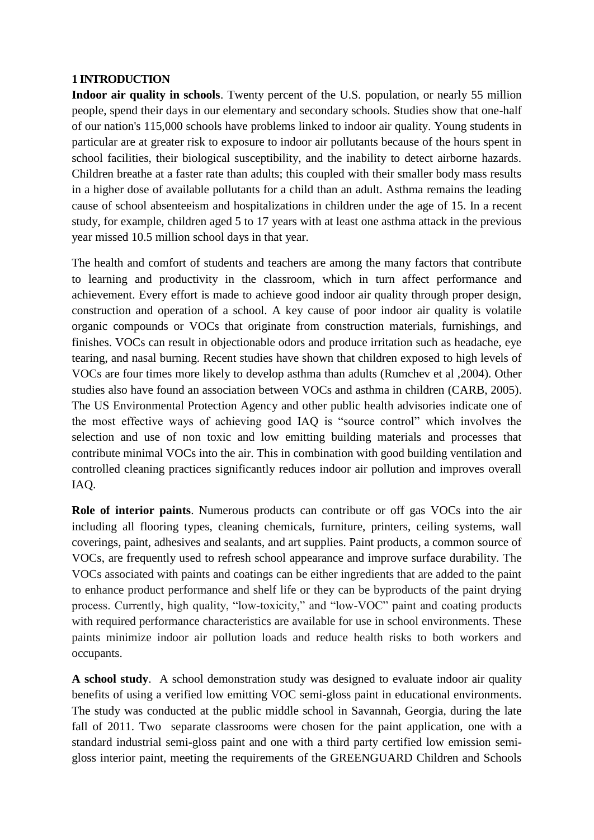### **1 INTRODUCTION**

**Indoor air quality in schools**. Twenty percent of the U.S. population, or nearly 55 million people, spend their days in our elementary and secondary schools. Studies show that one-half of our nation's 115,000 schools have problems linked to indoor air quality. Young students in particular are at greater risk to exposure to indoor air pollutants because of the hours spent in school facilities, their biological susceptibility, and the inability to detect airborne hazards. Children breathe at a faster rate than adults; this coupled with their smaller body mass results in a higher dose of available pollutants for a child than an adult. Asthma remains the leading cause of school absenteeism and hospitalizations in children under the age of 15. In a recent study, for example, children aged 5 to 17 years with at least one asthma attack in the previous year missed 10.5 million school days in that year.

The health and comfort of students and teachers are among the many factors that contribute to learning and productivity in the classroom, which in turn affect performance and achievement. Every effort is made to achieve good indoor air quality through proper design, construction and operation of a school. A key cause of poor indoor air quality is volatile organic compounds or VOCs that originate from construction materials, furnishings, and finishes. VOCs can result in objectionable odors and produce irritation such as headache, eye tearing, and nasal burning. Recent studies have shown that children exposed to high levels of VOCs are four times more likely to develop asthma than adults (Rumchev et al ,2004). Other studies also have found an association between VOCs and asthma in children (CARB, 2005). The US Environmental Protection Agency and other public health advisories indicate one of the most effective ways of achieving good IAQ is "source control" which involves the selection and use of non toxic and low emitting building materials and processes that contribute minimal VOCs into the air. This in combination with good building ventilation and controlled cleaning practices significantly reduces indoor air pollution and improves overall IAQ.

**Role of interior paints**. Numerous products can contribute or off gas VOCs into the air including all flooring types, cleaning chemicals, furniture, printers, ceiling systems, wall coverings, paint, adhesives and sealants, and art supplies. Paint products, a common source of VOCs, are frequently used to refresh school appearance and improve surface durability. The VOCs associated with paints and coatings can be either ingredients that are added to the paint to enhance product performance and shelf life or they can be byproducts of the paint drying process. Currently, high quality, "low-toxicity," and "low-VOC" paint and coating products with required performance characteristics are available for use in school environments. These paints minimize indoor air pollution loads and reduce health risks to both workers and occupants.

**A school study**. A school demonstration study was designed to evaluate indoor air quality benefits of using a verified low emitting VOC semi-gloss paint in educational environments. The study was conducted at the public middle school in Savannah, Georgia, during the late fall of 2011. Two separate classrooms were chosen for the paint application, one with a standard industrial semi-gloss paint and one with a third party certified low emission semigloss interior paint, meeting the requirements of the GREENGUARD Children and Schools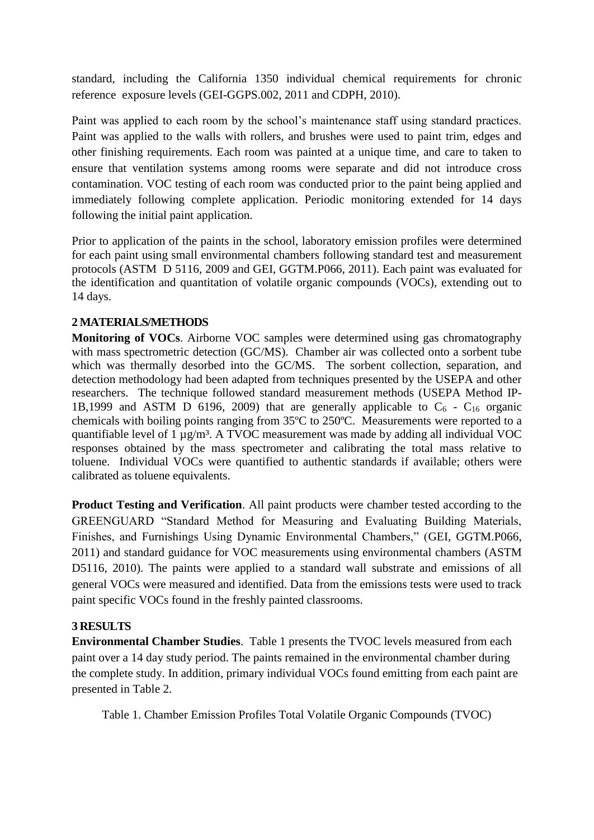standard, including the California 1350 individual chemical requirements for chronic reference exposure levels (GEI-GGPS.002, 2011 and CDPH, 2010).

Paint was applied to each room by the school's maintenance staff using standard practices. Paint was applied to the walls with rollers, and brushes were used to paint trim, edges and other finishing requirements. Each room was painted at a unique time, and care to taken to ensure that ventilation systems among rooms were separate and did not introduce cross contamination. VOC testing of each room was conducted prior to the paint being applied and immediately following complete application. Periodic monitoring extended for 14 days following the initial paint application.

Prior to application of the paints in the school, laboratory emission profiles were determined for each paint using small environmental chambers following standard test and measurement protocols (ASTM D 5116, 2009 and GEI, GGTM.P066, 2011). Each paint was evaluated for the identification and quantitation of volatile organic compounds (VOCs), extending out to 14 days.

## **2 MATERIALS/METHODS**

**Monitoring of VOCs**. Airborne VOC samples were determined using gas chromatography with mass spectrometric detection (GC/MS). Chamber air was collected onto a sorbent tube which was thermally desorbed into the GC/MS. The sorbent collection, separation, and detection methodology had been adapted from techniques presented by the USEPA and other researchers. The technique followed standard measurement methods (USEPA Method IP-1B,1999 and ASTM D 6196, 2009) that are generally applicable to  $C_6$  -  $C_{16}$  organic chemicals with boiling points ranging from 35ºC to 250ºC. Measurements were reported to a quantifiable level of  $1 \mu g/m<sup>3</sup>$ . A TVOC measurement was made by adding all individual VOC responses obtained by the mass spectrometer and calibrating the total mass relative to toluene. Individual VOCs were quantified to authentic standards if available; others were calibrated as toluene equivalents.

**Product Testing and Verification**. All paint products were chamber tested according to the GREENGUARD "Standard Method for Measuring and Evaluating Building Materials, Finishes, and Furnishings Using Dynamic Environmental Chambers," (GEI, GGTM.P066, 2011) and standard guidance for VOC measurements using environmental chambers (ASTM D5116, 2010). The paints were applied to a standard wall substrate and emissions of all general VOCs were measured and identified. Data from the emissions tests were used to track paint specific VOCs found in the freshly painted classrooms.

### **3 RESULTS**

**Environmental Chamber Studies**. Table 1 presents the TVOC levels measured from each paint over a 14 day study period. The paints remained in the environmental chamber during the complete study. In addition, primary individual VOCs found emitting from each paint are presented in Table 2.

Table 1. Chamber Emission Profiles Total Volatile Organic Compounds (TVOC)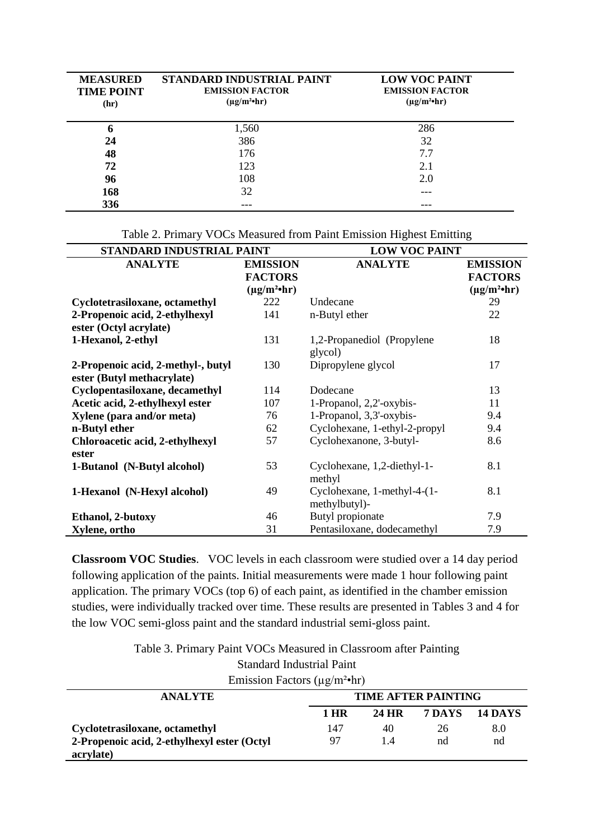| <b>MEASURED</b><br><b>TIME POINT</b><br>(hr) | STANDARD INDUSTRIAL PAINT<br><b>EMISSION FACTOR</b><br>$(\mu g/m^2 \cdot hr)$ | <b>LOW VOC PAINT</b><br><b>EMISSION FACTOR</b><br>$(\mu g/m^2 \cdot hr)$ |
|----------------------------------------------|-------------------------------------------------------------------------------|--------------------------------------------------------------------------|
| O                                            | 1,560                                                                         | 286                                                                      |
| 24                                           | 386                                                                           | 32                                                                       |
| 48                                           | 176                                                                           | 7.7                                                                      |
| 72                                           | 123                                                                           | 2.1                                                                      |
| 96                                           | 108                                                                           | 2.0                                                                      |
| 168                                          | 32                                                                            |                                                                          |
| 336                                          |                                                                               |                                                                          |

Table 2. Primary VOCs Measured from Paint Emission Highest Emitting

| STANDARD INDUSTRIAL PAINT          |                        | <b>LOW VOC PAINT</b>                         |                        |  |  |
|------------------------------------|------------------------|----------------------------------------------|------------------------|--|--|
| <b>ANALYTE</b>                     | <b>EMISSION</b>        | <b>ANALYTE</b>                               | <b>EMISSION</b>        |  |  |
|                                    | <b>FACTORS</b>         |                                              | <b>FACTORS</b>         |  |  |
|                                    | $(\mu g/m^2 \cdot hr)$ |                                              | $(\mu g/m^2 \cdot hr)$ |  |  |
| Cyclotetrasiloxane, octamethyl     | 222                    | Undecane                                     | 29                     |  |  |
| 2-Propenoic acid, 2-ethylhexyl     | 141                    | n-Butyl ether                                | 22                     |  |  |
| ester (Octyl acrylate)             |                        |                                              |                        |  |  |
| 1-Hexanol, 2-ethyl                 | 131                    | 1,2-Propanediol (Propylene<br>glycol)        | 18                     |  |  |
| 2-Propenoic acid, 2-methyl-, butyl | 130                    | Dipropylene glycol                           | 17                     |  |  |
| ester (Butyl methacrylate)         |                        |                                              |                        |  |  |
| Cyclopentasiloxane, decamethyl     | 114                    | Dodecane                                     | 13                     |  |  |
| Acetic acid, 2-ethylhexyl ester    | 107                    | 1-Propanol, 2,2'-oxybis-                     | 11                     |  |  |
| Xylene (para and/or meta)          | 76                     | 1-Propanol, 3,3'-oxybis-                     | 9.4                    |  |  |
| n-Butyl ether                      | 62                     | Cyclohexane, 1-ethyl-2-propyl                | 9.4                    |  |  |
| Chloroacetic acid, 2-ethylhexyl    | 57                     | Cyclohexanone, 3-butyl-                      | 8.6                    |  |  |
| ester                              |                        |                                              |                        |  |  |
| 1-Butanol (N-Butyl alcohol)        | 53                     | Cyclohexane, 1,2-diethyl-1-<br>methyl        | 8.1                    |  |  |
| 1-Hexanol (N-Hexyl alcohol)        | 49                     | Cyclohexane, 1-methyl-4-(1-<br>methylbutyl)- | 8.1                    |  |  |
| Ethanol, 2-butoxy                  | 46                     | Butyl propionate                             | 7.9                    |  |  |
| Xylene, ortho                      | 31                     | Pentasiloxane, dodecamethyl                  | 7.9                    |  |  |

**Classroom VOC Studies**. VOC levels in each classroom were studied over a 14 day period following application of the paints. Initial measurements were made 1 hour following paint application. The primary VOCs (top 6) of each paint, as identified in the chamber emission studies, were individually tracked over time. These results are presented in Tables 3 and 4 for the low VOC semi-gloss paint and the standard industrial semi-gloss paint.

Table 3. Primary Paint VOCs Measured in Classroom after Painting

Standard Industrial Paint

| Emission Factors ( $\mu$ g/m <sup>2</sup> •hr) |                            |       |        |                |  |  |
|------------------------------------------------|----------------------------|-------|--------|----------------|--|--|
| <b>ANALYTE</b>                                 | <b>TIME AFTER PAINTING</b> |       |        |                |  |  |
|                                                | 1 HR                       | 24 HR | 7 DAYS | <b>14 DAYS</b> |  |  |
| Cyclotetrasiloxane, octamethyl                 | 147                        | 40    | 26     | 8.0            |  |  |
| 2-Propenoic acid, 2-ethylhexyl ester (Octyl)   | 97                         | 14    | nd     | nd             |  |  |
| acrylate)                                      |                            |       |        |                |  |  |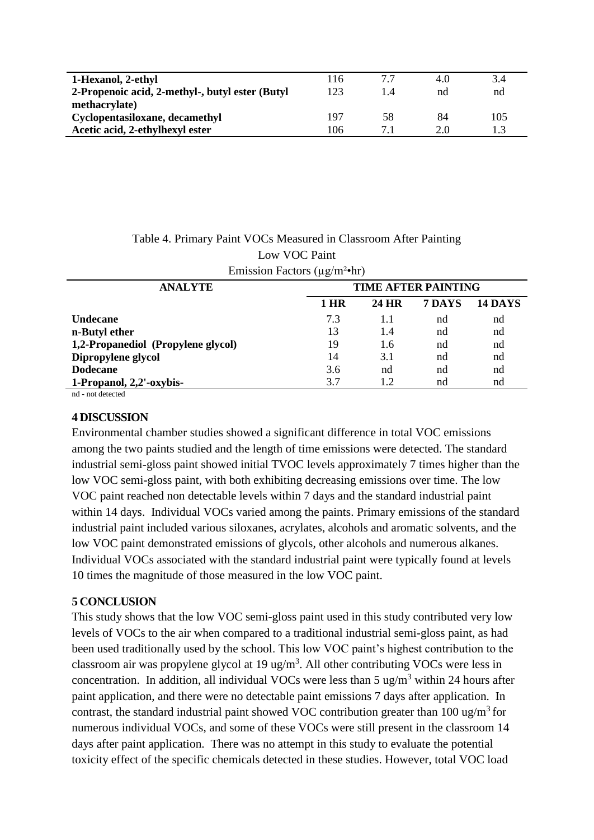| 1-Hexanol, 2-ethyl                               | 116 | 77 | 4.0 | 3.4 |
|--------------------------------------------------|-----|----|-----|-----|
| 2-Propenoic acid, 2-methyl-, butyl ester (Butyl) | 123 |    | nd  | nd  |
| methacrylate)                                    |     |    |     |     |
| Cyclopentasiloxane, decamethyl                   | 197 | 58 | 84  | 105 |
| Acetic acid, 2-ethylhexyl ester                  | 106 |    | 2.0 |     |

| Table 4. Primary Paint VOCs Measured in Classroom After Painting |                            |  |                      |  |
|------------------------------------------------------------------|----------------------------|--|----------------------|--|
| Low VOC Paint                                                    |                            |  |                      |  |
| Emission Factors ( $\mu$ g/m <sup>2</sup> •hr)                   |                            |  |                      |  |
| <b>ANALYTE</b>                                                   | <b>TIME AFTER PAINTING</b> |  |                      |  |
|                                                                  | 1 HR                       |  | 24 HR 7 DAYS 14 DAYS |  |

|                                    | т нк | 24 H.K | / DA I S | 14 DA |
|------------------------------------|------|--------|----------|-------|
| Undecane                           | 7.3  |        | nd       | nd    |
| n-Butyl ether                      |      | 1.4    | nd       | nd    |
| 1,2-Propanediol (Propylene glycol) | 19   | 1.6    | nd       | nd    |
| Dipropylene glycol                 | 14   | 3.1    | nd       | nd    |
| Dodecane                           | 3.6  | nd     | nd       | nd    |
| 1-Propanol, 2,2'-oxybis-           | 37   | 12     | nd       | nd    |

nd - not detected

#### **4 DISCUSSION**

Environmental chamber studies showed a significant difference in total VOC emissions among the two paints studied and the length of time emissions were detected. The standard industrial semi-gloss paint showed initial TVOC levels approximately 7 times higher than the low VOC semi-gloss paint, with both exhibiting decreasing emissions over time. The low VOC paint reached non detectable levels within 7 days and the standard industrial paint within 14 days. Individual VOCs varied among the paints. Primary emissions of the standard industrial paint included various siloxanes, acrylates, alcohols and aromatic solvents, and the low VOC paint demonstrated emissions of glycols, other alcohols and numerous alkanes. Individual VOCs associated with the standard industrial paint were typically found at levels 10 times the magnitude of those measured in the low VOC paint.

### **5 CONCLUSION**

This study shows that the low VOC semi-gloss paint used in this study contributed very low levels of VOCs to the air when compared to a traditional industrial semi-gloss paint, as had been used traditionally used by the school. This low VOC paint's highest contribution to the classroom air was propylene glycol at 19 ug/m<sup>3</sup>. All other contributing VOCs were less in concentration. In addition, all individual VOCs were less than  $5 \text{ ug/m}^3$  within 24 hours after paint application, and there were no detectable paint emissions 7 days after application. In contrast, the standard industrial paint showed VOC contribution greater than 100 ug/m<sup>3</sup> for numerous individual VOCs, and some of these VOCs were still present in the classroom 14 days after paint application. There was no attempt in this study to evaluate the potential toxicity effect of the specific chemicals detected in these studies. However, total VOC load